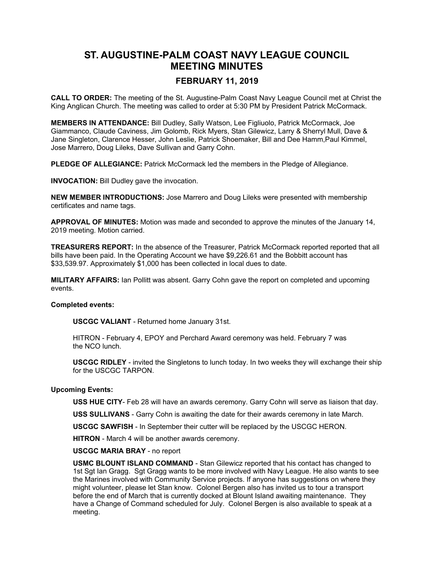# **ST. AUGUSTINE-PALM COAST NAVY LEAGUE COUNCIL MEETING MINUTES**

## **FEBRUARY 11, 2019**

**CALL TO ORDER:** The meeting of the St. Augustine-Palm Coast Navy League Council met at Christ the King Anglican Church. The meeting was called to order at 5:30 PM by President Patrick McCormack.

**MEMBERS IN ATTENDANCE:** Bill Dudley, Sally Watson, Lee Figliuolo, Patrick McCormack, Joe Giammanco, Claude Caviness, Jim Golomb, Rick Myers, Stan Gilewicz, Larry & Sherryl Mull, Dave & Jane Singleton, Clarence Hesser, John Leslie, Patrick Shoemaker, Bill and Dee Hamm,Paul Kimmel, Jose Marrero, Doug Lileks, Dave Sullivan and Garry Cohn.

**PLEDGE OF ALLEGIANCE:** Patrick McCormack led the members in the Pledge of Allegiance.

**INVOCATION:** Bill Dudley gave the invocation.

**NEW MEMBER INTRODUCTIONS:** Jose Marrero and Doug Lileks were presented with membership certificates and name tags.

**APPROVAL OF MINUTES:** Motion was made and seconded to approve the minutes of the January 14, 2019 meeting. Motion carried.

**TREASURERS REPORT:** In the absence of the Treasurer, Patrick McCormack reported reported that all bills have been paid. In the Operating Account we have \$9,226.61 and the Bobbitt account has \$33,539.97. Approximately \$1,000 has been collected in local dues to date.

**MILITARY AFFAIRS:** Ian Pollitt was absent. Garry Cohn gave the report on completed and upcoming events.

#### **Completed events:**

**USCGC VALIANT** - Returned home January 31st.

HITRON - February 4, EPOY and Perchard Award ceremony was held. February 7 was the NCO lunch.

**USCGC RIDLEY** - invited the Singletons to lunch today. In two weeks they will exchange their ship for the USCGC TARPON.

### **Upcoming Events:**

**USS HUE CITY**- Feb 28 will have an awards ceremony. Garry Cohn will serve as liaison that day.

**USS SULLIVANS** - Garry Cohn is awaiting the date for their awards ceremony in late March.

**USCGC SAWFISH** - In September their cutter will be replaced by the USCGC HERON.

**HITRON** - March 4 will be another awards ceremony.

**USCGC MARIA BRAY** - no report

**USMC BLOUNT ISLAND COMMAND** - Stan Gilewicz reported that his contact has changed to 1st Sgt Ian Gragg. Sgt Gragg wants to be more involved with Navy League. He also wants to see the Marines involved with Community Service projects. If anyone has suggestions on where they might volunteer, please let Stan know. Colonel Bergen also has invited us to tour a transport before the end of March that is currently docked at Blount Island awaiting maintenance. They have a Change of Command scheduled for July. Colonel Bergen is also available to speak at a meeting.